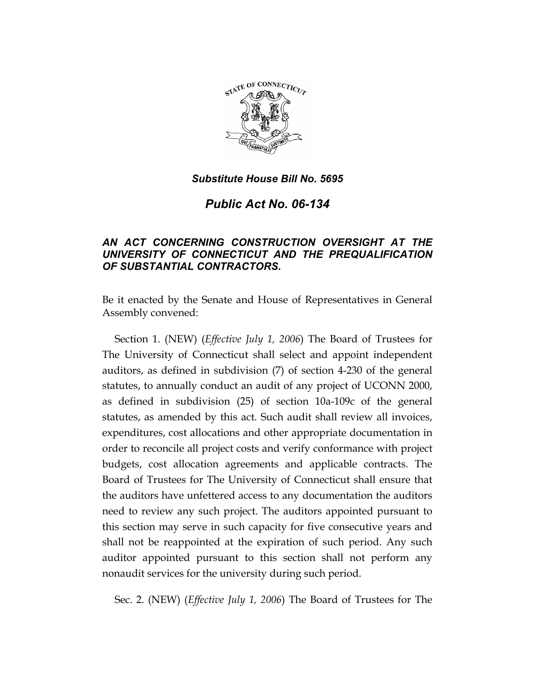

*Public Act No. 06-134* 

# *AN ACT CONCERNING CONSTRUCTION OVERSIGHT AT THE UNIVERSITY OF CONNECTICUT AND THE PREQUALIFICATION OF SUBSTANTIAL CONTRACTORS.*

Be it enacted by the Senate and House of Representatives in General Assembly convened:

Section 1. (NEW) (*Effective July 1, 2006*) The Board of Trustees for The University of Connecticut shall select and appoint independent auditors, as defined in subdivision (7) of section 4-230 of the general statutes, to annually conduct an audit of any project of UCONN 2000, as defined in subdivision (25) of section 10a-109c of the general statutes, as amended by this act. Such audit shall review all invoices, expenditures, cost allocations and other appropriate documentation in order to reconcile all project costs and verify conformance with project budgets, cost allocation agreements and applicable contracts. The Board of Trustees for The University of Connecticut shall ensure that the auditors have unfettered access to any documentation the auditors need to review any such project. The auditors appointed pursuant to this section may serve in such capacity for five consecutive years and shall not be reappointed at the expiration of such period. Any such auditor appointed pursuant to this section shall not perform any nonaudit services for the university during such period.

Sec. 2. (NEW) (*Effective July 1, 2006*) The Board of Trustees for The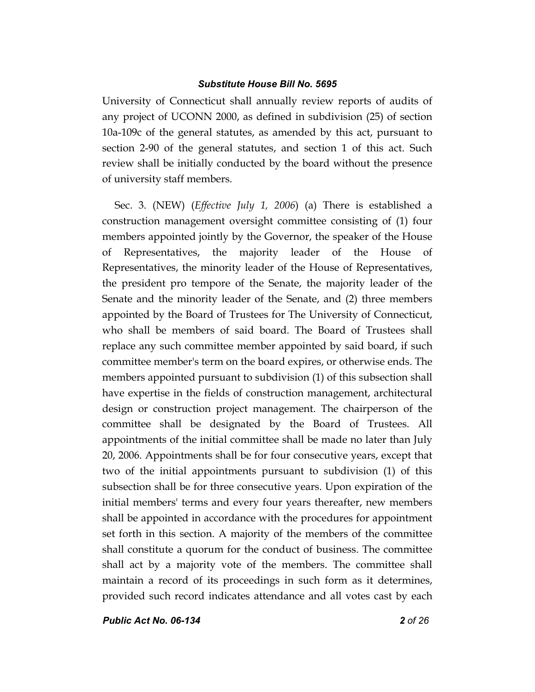University of Connecticut shall annually review reports of audits of any project of UCONN 2000, as defined in subdivision (25) of section 10a-109c of the general statutes, as amended by this act, pursuant to section 2-90 of the general statutes, and section 1 of this act. Such review shall be initially conducted by the board without the presence of university staff members.

Sec. 3. (NEW) (*Effective July 1, 2006*) (a) There is established a construction management oversight committee consisting of (1) four members appointed jointly by the Governor, the speaker of the House of Representatives, the majority leader of the House of Representatives, the minority leader of the House of Representatives, the president pro tempore of the Senate, the majority leader of the Senate and the minority leader of the Senate, and (2) three members appointed by the Board of Trustees for The University of Connecticut, who shall be members of said board. The Board of Trustees shall replace any such committee member appointed by said board, if such committee member's term on the board expires, or otherwise ends. The members appointed pursuant to subdivision (1) of this subsection shall have expertise in the fields of construction management, architectural design or construction project management. The chairperson of the committee shall be designated by the Board of Trustees. All appointments of the initial committee shall be made no later than July 20, 2006. Appointments shall be for four consecutive years, except that two of the initial appointments pursuant to subdivision (1) of this subsection shall be for three consecutive years. Upon expiration of the initial members' terms and every four years thereafter, new members shall be appointed in accordance with the procedures for appointment set forth in this section. A majority of the members of the committee shall constitute a quorum for the conduct of business. The committee shall act by a majority vote of the members. The committee shall maintain a record of its proceedings in such form as it determines, provided such record indicates attendance and all votes cast by each

*Public Act No. 06-134 2 of 26*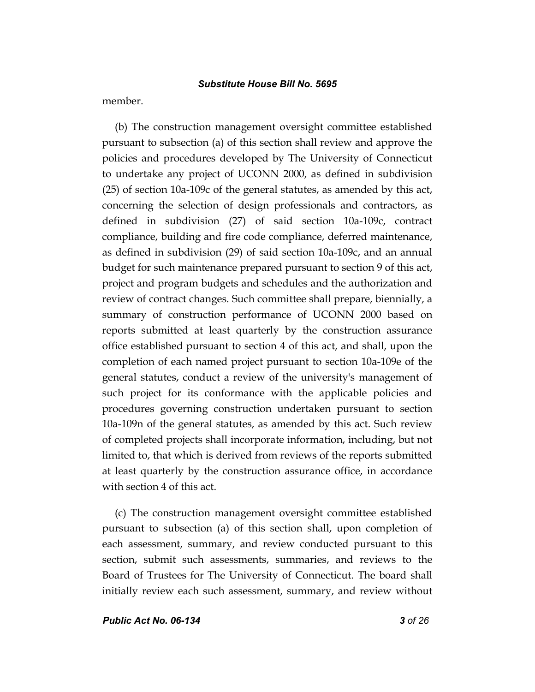member.

(b) The construction management oversight committee established pursuant to subsection (a) of this section shall review and approve the policies and procedures developed by The University of Connecticut to undertake any project of UCONN 2000, as defined in subdivision (25) of section 10a-109c of the general statutes, as amended by this act, concerning the selection of design professionals and contractors, as defined in subdivision (27) of said section 10a-109c, contract compliance, building and fire code compliance, deferred maintenance, as defined in subdivision (29) of said section 10a-109c, and an annual budget for such maintenance prepared pursuant to section 9 of this act, project and program budgets and schedules and the authorization and review of contract changes. Such committee shall prepare, biennially, a summary of construction performance of UCONN 2000 based on reports submitted at least quarterly by the construction assurance office established pursuant to section 4 of this act, and shall, upon the completion of each named project pursuant to section 10a-109e of the general statutes, conduct a review of the university's management of such project for its conformance with the applicable policies and procedures governing construction undertaken pursuant to section 10a-109n of the general statutes, as amended by this act. Such review of completed projects shall incorporate information, including, but not limited to, that which is derived from reviews of the reports submitted at least quarterly by the construction assurance office, in accordance with section 4 of this act.

(c) The construction management oversight committee established pursuant to subsection (a) of this section shall, upon completion of each assessment, summary, and review conducted pursuant to this section, submit such assessments, summaries, and reviews to the Board of Trustees for The University of Connecticut. The board shall initially review each such assessment, summary, and review without

*Public Act No. 06-134 3 of 26*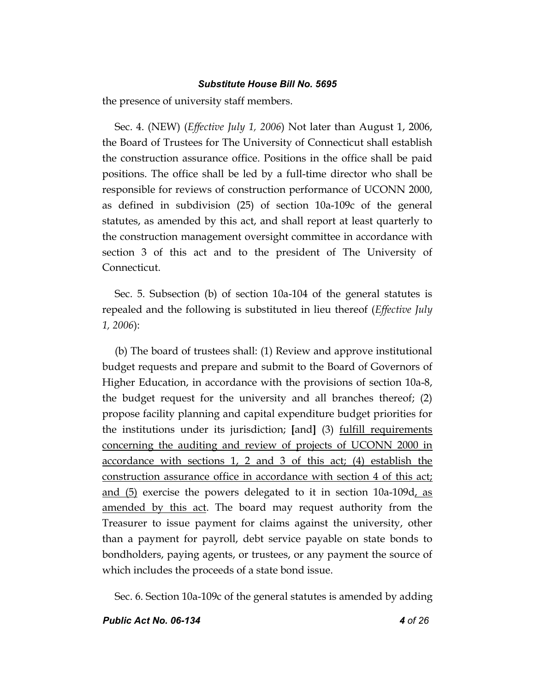the presence of university staff members.

Sec. 4. (NEW) (*Effective July 1, 2006*) Not later than August 1, 2006, the Board of Trustees for The University of Connecticut shall establish the construction assurance office. Positions in the office shall be paid positions. The office shall be led by a full-time director who shall be responsible for reviews of construction performance of UCONN 2000, as defined in subdivision (25) of section 10a-109c of the general statutes, as amended by this act, and shall report at least quarterly to the construction management oversight committee in accordance with section 3 of this act and to the president of The University of Connecticut.

Sec. 5. Subsection (b) of section 10a-104 of the general statutes is repealed and the following is substituted in lieu thereof (*Effective July 1, 2006*):

(b) The board of trustees shall: (1) Review and approve institutional budget requests and prepare and submit to the Board of Governors of Higher Education, in accordance with the provisions of section 10a-8, the budget request for the university and all branches thereof; (2) propose facility planning and capital expenditure budget priorities for the institutions under its jurisdiction; **[**and**]** (3) fulfill requirements concerning the auditing and review of projects of UCONN 2000 in accordance with sections 1, 2 and 3 of this act; (4) establish the construction assurance office in accordance with section 4 of this act; and (5) exercise the powers delegated to it in section 10a-109d, as amended by this act. The board may request authority from the Treasurer to issue payment for claims against the university, other than a payment for payroll, debt service payable on state bonds to bondholders, paying agents, or trustees, or any payment the source of which includes the proceeds of a state bond issue.

Sec. 6. Section 10a-109c of the general statutes is amended by adding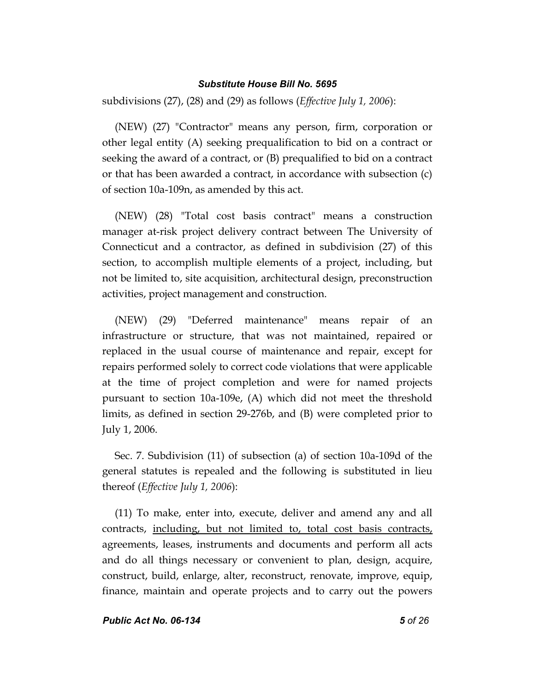subdivisions (27), (28) and (29) as follows (*Effective July 1, 2006*):

(NEW) (27) "Contractor" means any person, firm, corporation or other legal entity (A) seeking prequalification to bid on a contract or seeking the award of a contract, or (B) prequalified to bid on a contract or that has been awarded a contract, in accordance with subsection (c) of section 10a-109n, as amended by this act.

(NEW) (28) "Total cost basis contract" means a construction manager at-risk project delivery contract between The University of Connecticut and a contractor, as defined in subdivision (27) of this section, to accomplish multiple elements of a project, including, but not be limited to, site acquisition, architectural design, preconstruction activities, project management and construction.

(NEW) (29) "Deferred maintenance" means repair of an infrastructure or structure, that was not maintained, repaired or replaced in the usual course of maintenance and repair, except for repairs performed solely to correct code violations that were applicable at the time of project completion and were for named projects pursuant to section 10a-109e, (A) which did not meet the threshold limits, as defined in section 29-276b, and (B) were completed prior to July 1, 2006.

Sec. 7. Subdivision (11) of subsection (a) of section 10a-109d of the general statutes is repealed and the following is substituted in lieu thereof (*Effective July 1, 2006*):

(11) To make, enter into, execute, deliver and amend any and all contracts, including, but not limited to, total cost basis contracts, agreements, leases, instruments and documents and perform all acts and do all things necessary or convenient to plan, design, acquire, construct, build, enlarge, alter, reconstruct, renovate, improve, equip, finance, maintain and operate projects and to carry out the powers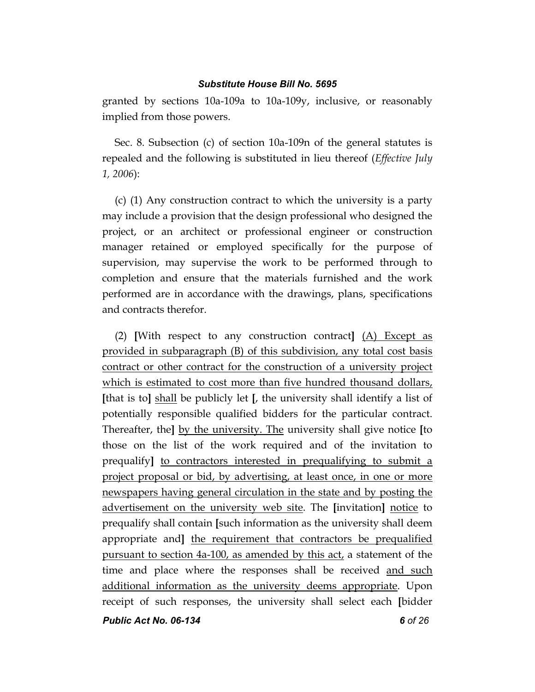granted by sections 10a-109a to 10a-109y, inclusive, or reasonably implied from those powers.

Sec. 8. Subsection (c) of section 10a-109n of the general statutes is repealed and the following is substituted in lieu thereof (*Effective July 1, 2006*):

(c) (1) Any construction contract to which the university is a party may include a provision that the design professional who designed the project, or an architect or professional engineer or construction manager retained or employed specifically for the purpose of supervision, may supervise the work to be performed through to completion and ensure that the materials furnished and the work performed are in accordance with the drawings, plans, specifications and contracts therefor.

(2) **[**With respect to any construction contract**]** (A) Except as provided in subparagraph (B) of this subdivision, any total cost basis contract or other contract for the construction of a university project which is estimated to cost more than five hundred thousand dollars, **[**that is to**]** shall be publicly let **[**, the university shall identify a list of potentially responsible qualified bidders for the particular contract. Thereafter, the**]** by the university. The university shall give notice **[**to those on the list of the work required and of the invitation to prequalify**]** to contractors interested in prequalifying to submit a project proposal or bid, by advertising, at least once, in one or more newspapers having general circulation in the state and by posting the advertisement on the university web site. The **[**invitation**]** notice to prequalify shall contain **[**such information as the university shall deem appropriate and**]** the requirement that contractors be prequalified pursuant to section 4a-100, as amended by this act, a statement of the time and place where the responses shall be received and such additional information as the university deems appropriate. Upon receipt of such responses, the university shall select each **[**bidder

*Public Act No. 06-134 6 of 26*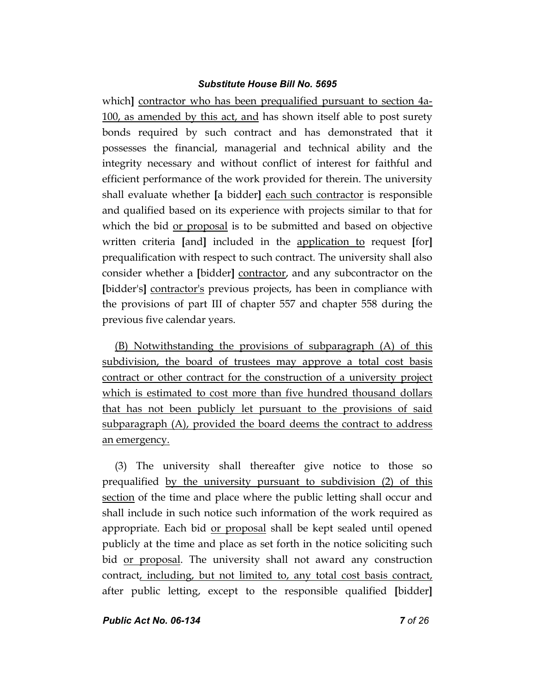which**]** contractor who has been prequalified pursuant to section 4a-100, as amended by this act, and has shown itself able to post surety bonds required by such contract and has demonstrated that it possesses the financial, managerial and technical ability and the integrity necessary and without conflict of interest for faithful and efficient performance of the work provided for therein. The university shall evaluate whether **[**a bidder**]** each such contractor is responsible and qualified based on its experience with projects similar to that for which the bid or proposal is to be submitted and based on objective written criteria **[**and**]** included in the application to request **[**for**]** prequalification with respect to such contract. The university shall also consider whether a **[**bidder**]** contractor, and any subcontractor on the **[**bidder's**]** contractor's previous projects, has been in compliance with the provisions of part III of chapter 557 and chapter 558 during the previous five calendar years.

(B) Notwithstanding the provisions of subparagraph (A) of this subdivision, the board of trustees may approve a total cost basis contract or other contract for the construction of a university project which is estimated to cost more than five hundred thousand dollars that has not been publicly let pursuant to the provisions of said subparagraph (A), provided the board deems the contract to address an emergency.

(3) The university shall thereafter give notice to those so prequalified by the university pursuant to subdivision (2) of this section of the time and place where the public letting shall occur and shall include in such notice such information of the work required as appropriate. Each bid or proposal shall be kept sealed until opened publicly at the time and place as set forth in the notice soliciting such bid or proposal. The university shall not award any construction contract, including, but not limited to, any total cost basis contract, after public letting, except to the responsible qualified **[**bidder**]**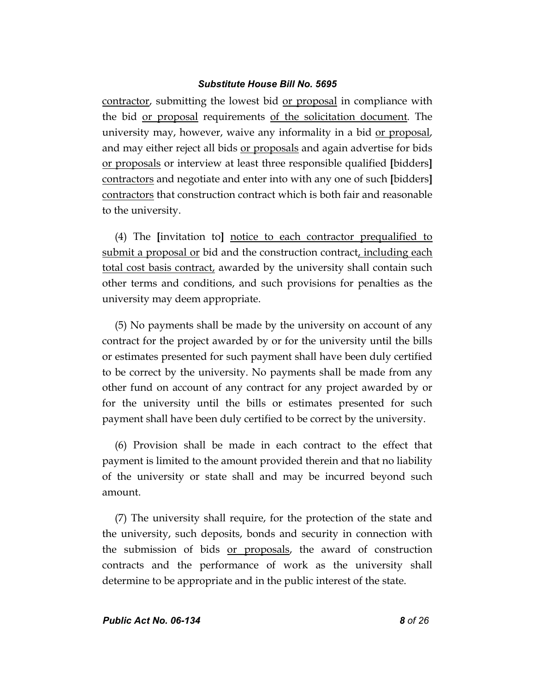contractor, submitting the lowest bid or proposal in compliance with the bid or proposal requirements of the solicitation document. The university may, however, waive any informality in a bid or proposal, and may either reject all bids or proposals and again advertise for bids or proposals or interview at least three responsible qualified **[**bidders**]** contractors and negotiate and enter into with any one of such **[**bidders**]** contractors that construction contract which is both fair and reasonable to the university.

(4) The **[**invitation to**]** notice to each contractor prequalified to submit a proposal or bid and the construction contract, including each total cost basis contract, awarded by the university shall contain such other terms and conditions, and such provisions for penalties as the university may deem appropriate.

(5) No payments shall be made by the university on account of any contract for the project awarded by or for the university until the bills or estimates presented for such payment shall have been duly certified to be correct by the university. No payments shall be made from any other fund on account of any contract for any project awarded by or for the university until the bills or estimates presented for such payment shall have been duly certified to be correct by the university.

(6) Provision shall be made in each contract to the effect that payment is limited to the amount provided therein and that no liability of the university or state shall and may be incurred beyond such amount.

(7) The university shall require, for the protection of the state and the university, such deposits, bonds and security in connection with the submission of bids <u>or proposals</u>, the award of construction contracts and the performance of work as the university shall determine to be appropriate and in the public interest of the state.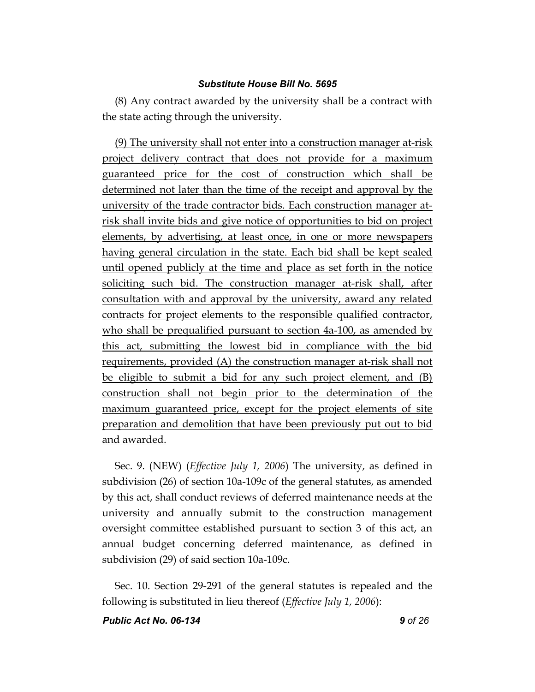(8) Any contract awarded by the university shall be a contract with the state acting through the university.

(9) The university shall not enter into a construction manager at-risk project delivery contract that does not provide for a maximum guaranteed price for the cost of construction which shall be determined not later than the time of the receipt and approval by the university of the trade contractor bids. Each construction manager atrisk shall invite bids and give notice of opportunities to bid on project elements, by advertising, at least once, in one or more newspapers having general circulation in the state. Each bid shall be kept sealed until opened publicly at the time and place as set forth in the notice soliciting such bid. The construction manager at-risk shall, after consultation with and approval by the university, award any related contracts for project elements to the responsible qualified contractor, who shall be prequalified pursuant to section 4a-100, as amended by this act, submitting the lowest bid in compliance with the bid requirements, provided (A) the construction manager at-risk shall not be eligible to submit a bid for any such project element, and (B) construction shall not begin prior to the determination of the maximum guaranteed price, except for the project elements of site preparation and demolition that have been previously put out to bid and awarded.

Sec. 9. (NEW) (*Effective July 1, 2006*) The university, as defined in subdivision (26) of section 10a-109c of the general statutes, as amended by this act, shall conduct reviews of deferred maintenance needs at the university and annually submit to the construction management oversight committee established pursuant to section 3 of this act, an annual budget concerning deferred maintenance, as defined in subdivision (29) of said section 10a-109c.

Sec. 10. Section 29-291 of the general statutes is repealed and the following is substituted in lieu thereof (*Effective July 1, 2006*):

*Public Act No. 06-134 9 of 26*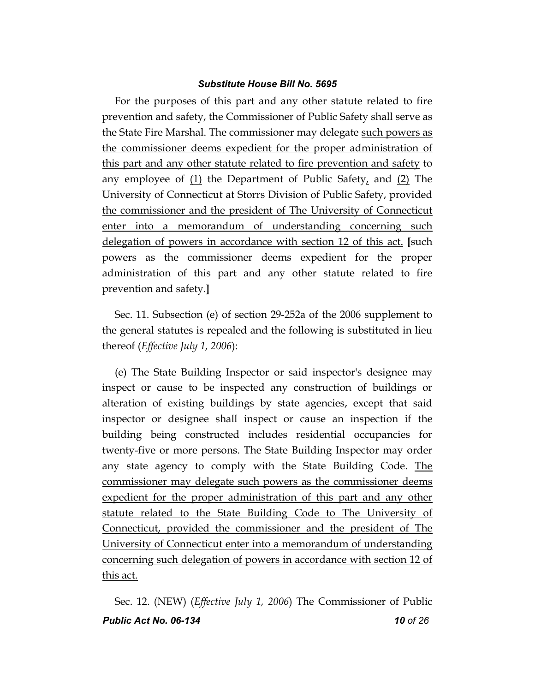For the purposes of this part and any other statute related to fire prevention and safety, the Commissioner of Public Safety shall serve as the State Fire Marshal. The commissioner may delegate such powers as the commissioner deems expedient for the proper administration of this part and any other statute related to fire prevention and safety to any employee of  $(1)$  the Department of Public Safety, and  $(2)$  The University of Connecticut at Storrs Division of Public Safety, provided the commissioner and the president of The University of Connecticut enter into a memorandum of understanding concerning such delegation of powers in accordance with section 12 of this act. **[**such powers as the commissioner deems expedient for the proper administration of this part and any other statute related to fire prevention and safety.**]**

Sec. 11. Subsection (e) of section 29-252a of the 2006 supplement to the general statutes is repealed and the following is substituted in lieu thereof (*Effective July 1, 2006*):

(e) The State Building Inspector or said inspector's designee may inspect or cause to be inspected any construction of buildings or alteration of existing buildings by state agencies, except that said inspector or designee shall inspect or cause an inspection if the building being constructed includes residential occupancies for twenty-five or more persons. The State Building Inspector may order any state agency to comply with the State Building Code. The commissioner may delegate such powers as the commissioner deems expedient for the proper administration of this part and any other statute related to the State Building Code to The University of Connecticut, provided the commissioner and the president of The University of Connecticut enter into a memorandum of understanding concerning such delegation of powers in accordance with section 12 of this act.

*Public Act No. 06-134 10 of 26* Sec. 12. (NEW) (*Effective July 1, 2006*) The Commissioner of Public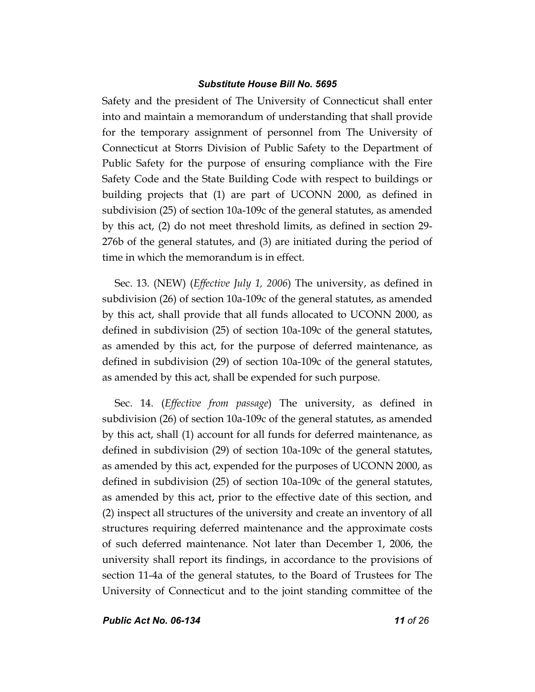Safety and the president of The University of Connecticut shall enter into and maintain a memorandum of understanding that shall provide for the temporary assignment of personnel from The University of Connecticut at Storrs Division of Public Safety to the Department of Public Safety for the purpose of ensuring compliance with the Fire Safety Code and the State Building Code with respect to buildings or building projects that (1) are part of UCONN 2000, as defined in subdivision (25) of section 10a-109c of the general statutes, as amended by this act, (2) do not meet threshold limits, as defined in section 29- 276b of the general statutes, and (3) are initiated during the period of time in which the memorandum is in effect.

Sec. 13. (NEW) (*Effective July 1, 2006*) The university, as defined in subdivision (26) of section 10a-109c of the general statutes, as amended by this act, shall provide that all funds allocated to UCONN 2000, as defined in subdivision (25) of section 10a-109c of the general statutes, as amended by this act, for the purpose of deferred maintenance, as defined in subdivision (29) of section 10a-109c of the general statutes, as amended by this act, shall be expended for such purpose.

Sec. 14. (*Effective from passage*) The university, as defined in subdivision (26) of section 10a-109c of the general statutes, as amended by this act, shall (1) account for all funds for deferred maintenance, as defined in subdivision (29) of section 10a-109c of the general statutes, as amended by this act, expended for the purposes of UCONN 2000, as defined in subdivision (25) of section 10a-109c of the general statutes, as amended by this act, prior to the effective date of this section, and (2) inspect all structures of the university and create an inventory of all structures requiring deferred maintenance and the approximate costs of such deferred maintenance. Not later than December 1, 2006, the university shall report its findings, in accordance to the provisions of section 11-4a of the general statutes, to the Board of Trustees for The University of Connecticut and to the joint standing committee of the

*Public Act No. 06-134 11 of 26*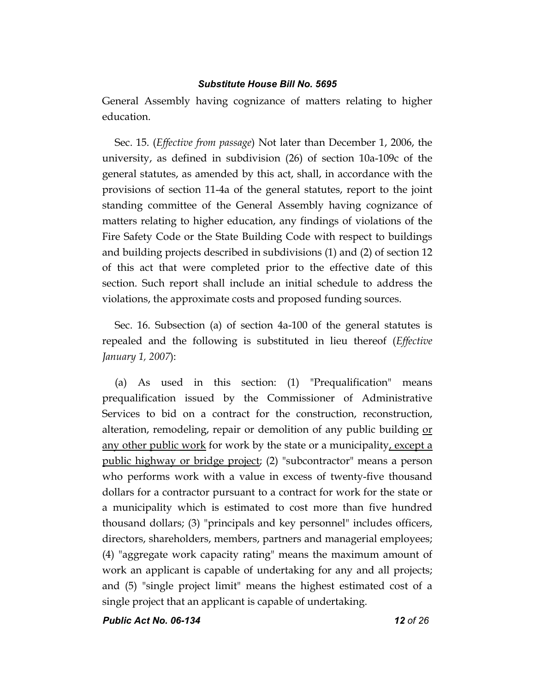General Assembly having cognizance of matters relating to higher education.

Sec. 15. (*Effective from passage*) Not later than December 1, 2006, the university, as defined in subdivision (26) of section 10a-109c of the general statutes, as amended by this act, shall, in accordance with the provisions of section 11-4a of the general statutes, report to the joint standing committee of the General Assembly having cognizance of matters relating to higher education, any findings of violations of the Fire Safety Code or the State Building Code with respect to buildings and building projects described in subdivisions (1) and (2) of section 12 of this act that were completed prior to the effective date of this section. Such report shall include an initial schedule to address the violations, the approximate costs and proposed funding sources.

Sec. 16. Subsection (a) of section 4a-100 of the general statutes is repealed and the following is substituted in lieu thereof (*Effective January 1, 2007*):

(a) As used in this section: (1) "Prequalification" means prequalification issued by the Commissioner of Administrative Services to bid on a contract for the construction, reconstruction, alteration, remodeling, repair or demolition of any public building or any other public work for work by the state or a municipality, except a public highway or bridge project; (2) "subcontractor" means a person who performs work with a value in excess of twenty-five thousand dollars for a contractor pursuant to a contract for work for the state or a municipality which is estimated to cost more than five hundred thousand dollars; (3) "principals and key personnel" includes officers, directors, shareholders, members, partners and managerial employees; (4) "aggregate work capacity rating" means the maximum amount of work an applicant is capable of undertaking for any and all projects; and (5) "single project limit" means the highest estimated cost of a single project that an applicant is capable of undertaking.

*Public Act No. 06-134 12 of 26*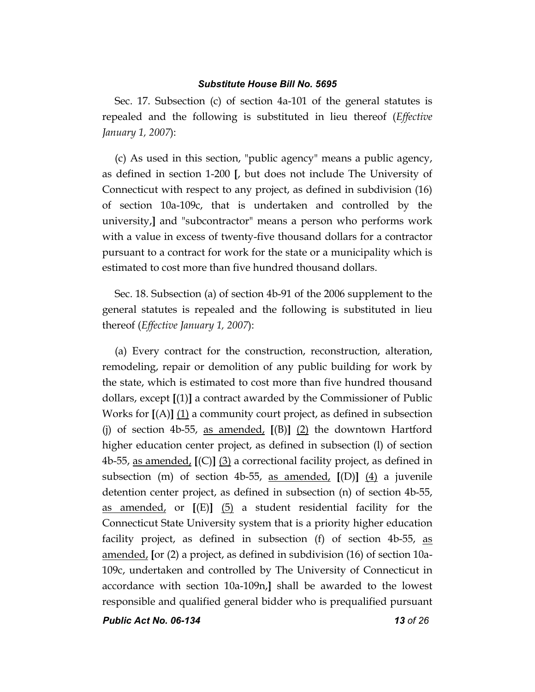Sec. 17. Subsection (c) of section 4a-101 of the general statutes is repealed and the following is substituted in lieu thereof (*Effective January 1, 2007*):

(c) As used in this section, "public agency" means a public agency, as defined in section 1-200 **[**, but does not include The University of Connecticut with respect to any project, as defined in subdivision (16) of section 10a-109c, that is undertaken and controlled by the university,**]** and "subcontractor" means a person who performs work with a value in excess of twenty-five thousand dollars for a contractor pursuant to a contract for work for the state or a municipality which is estimated to cost more than five hundred thousand dollars.

Sec. 18. Subsection (a) of section 4b-91 of the 2006 supplement to the general statutes is repealed and the following is substituted in lieu thereof (*Effective January 1, 2007*):

(a) Every contract for the construction, reconstruction, alteration, remodeling, repair or demolition of any public building for work by the state, which is estimated to cost more than five hundred thousand dollars, except **[**(1)**]** a contract awarded by the Commissioner of Public Works for **[**(A)**]** (1) a community court project, as defined in subsection (j) of section 4b-55, as amended, **[**(B)**]** (2) the downtown Hartford higher education center project, as defined in subsection (l) of section 4b-55, as amended, **[**(C)**]** (3) a correctional facility project, as defined in subsection (m) of section 4b-55, as amended, **[**(D)**]** (4) a juvenile detention center project, as defined in subsection (n) of section 4b-55, as amended, or **[**(E)**]** (5) a student residential facility for the Connecticut State University system that is a priority higher education facility project, as defined in subsection (f) of section 4b-55, as amended, **[**or (2) a project, as defined in subdivision (16) of section 10a-109c, undertaken and controlled by The University of Connecticut in accordance with section 10a-109n,**]** shall be awarded to the lowest responsible and qualified general bidder who is prequalified pursuant

*Public Act No. 06-134 13 of 26*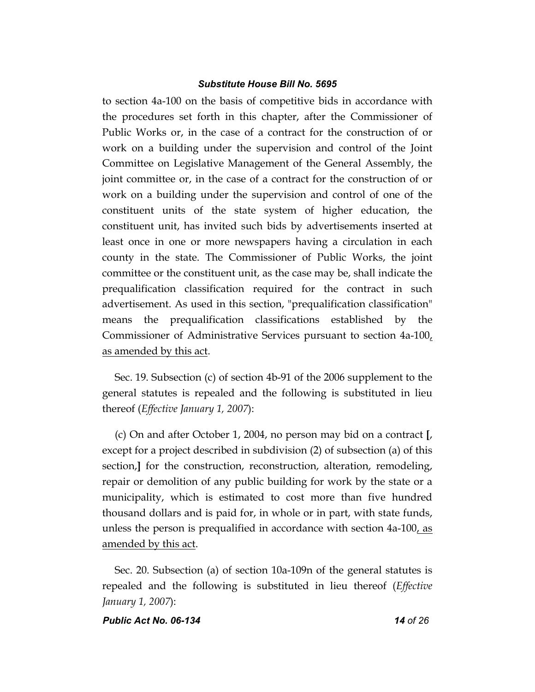to section 4a-100 on the basis of competitive bids in accordance with the procedures set forth in this chapter, after the Commissioner of Public Works or, in the case of a contract for the construction of or work on a building under the supervision and control of the Joint Committee on Legislative Management of the General Assembly, the joint committee or, in the case of a contract for the construction of or work on a building under the supervision and control of one of the constituent units of the state system of higher education, the constituent unit, has invited such bids by advertisements inserted at least once in one or more newspapers having a circulation in each county in the state. The Commissioner of Public Works, the joint committee or the constituent unit, as the case may be, shall indicate the prequalification classification required for the contract in such advertisement. As used in this section, "prequalification classification" means the prequalification classifications established by the Commissioner of Administrative Services pursuant to section 4a-100, as amended by this act.

Sec. 19. Subsection (c) of section 4b-91 of the 2006 supplement to the general statutes is repealed and the following is substituted in lieu thereof (*Effective January 1, 2007*):

(c) On and after October 1, 2004, no person may bid on a contract **[**, except for a project described in subdivision (2) of subsection (a) of this section,**]** for the construction, reconstruction, alteration, remodeling, repair or demolition of any public building for work by the state or a municipality, which is estimated to cost more than five hundred thousand dollars and is paid for, in whole or in part, with state funds, unless the person is prequalified in accordance with section 4a-100, as amended by this act.

Sec. 20. Subsection (a) of section 10a-109n of the general statutes is repealed and the following is substituted in lieu thereof (*Effective January 1, 2007*):

#### *Public Act No. 06-134 14 of 26*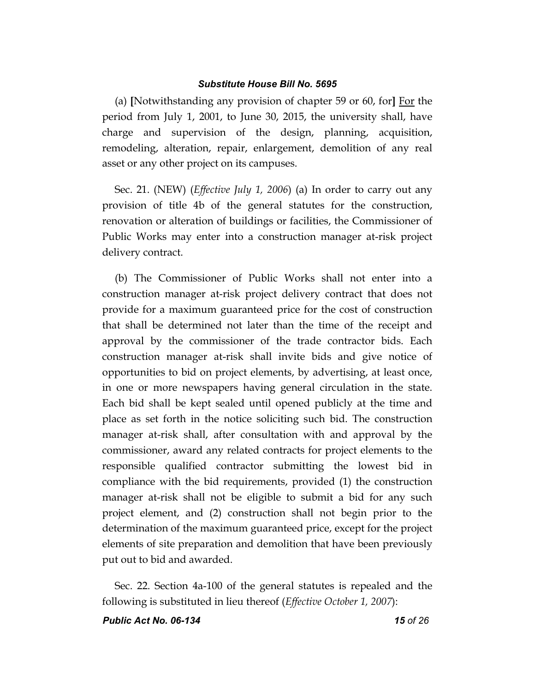(a) **[**Notwithstanding any provision of chapter 59 or 60, for**]** For the period from July 1, 2001, to June 30, 2015, the university shall, have charge and supervision of the design, planning, acquisition, remodeling, alteration, repair, enlargement, demolition of any real asset or any other project on its campuses.

Sec. 21. (NEW) (*Effective July 1, 2006*) (a) In order to carry out any provision of title 4b of the general statutes for the construction, renovation or alteration of buildings or facilities, the Commissioner of Public Works may enter into a construction manager at-risk project delivery contract.

(b) The Commissioner of Public Works shall not enter into a construction manager at-risk project delivery contract that does not provide for a maximum guaranteed price for the cost of construction that shall be determined not later than the time of the receipt and approval by the commissioner of the trade contractor bids. Each construction manager at-risk shall invite bids and give notice of opportunities to bid on project elements, by advertising, at least once, in one or more newspapers having general circulation in the state. Each bid shall be kept sealed until opened publicly at the time and place as set forth in the notice soliciting such bid. The construction manager at-risk shall, after consultation with and approval by the commissioner, award any related contracts for project elements to the responsible qualified contractor submitting the lowest bid in compliance with the bid requirements, provided (1) the construction manager at-risk shall not be eligible to submit a bid for any such project element, and (2) construction shall not begin prior to the determination of the maximum guaranteed price, except for the project elements of site preparation and demolition that have been previously put out to bid and awarded.

Sec. 22. Section 4a-100 of the general statutes is repealed and the following is substituted in lieu thereof (*Effective October 1, 2007*):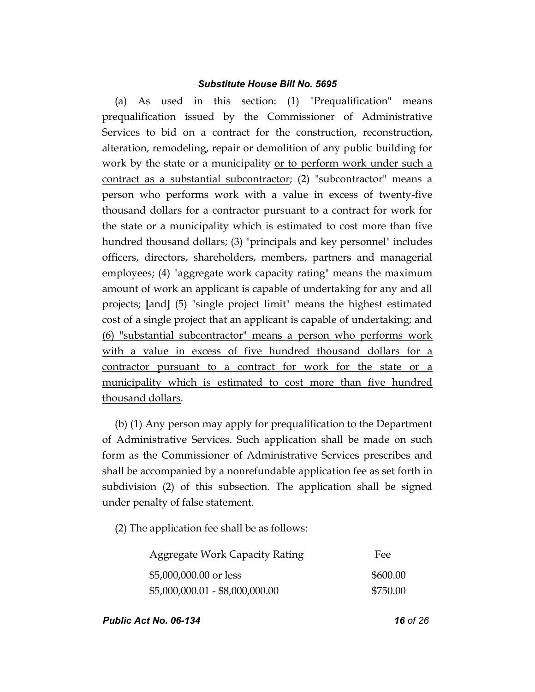(a) As used in this section: (1) "Prequalification" means prequalification issued by the Commissioner of Administrative Services to bid on a contract for the construction, reconstruction, alteration, remodeling, repair or demolition of any public building for work by the state or a municipality or to perform work under such a contract as a substantial subcontractor; (2) "subcontractor" means a person who performs work with a value in excess of twenty-five thousand dollars for a contractor pursuant to a contract for work for the state or a municipality which is estimated to cost more than five hundred thousand dollars; (3) "principals and key personnel" includes officers, directors, shareholders, members, partners and managerial employees; (4) "aggregate work capacity rating" means the maximum amount of work an applicant is capable of undertaking for any and all projects; **[**and**]** (5) "single project limit" means the highest estimated cost of a single project that an applicant is capable of undertaking; and (6) "substantial subcontractor" means a person who performs work with a value in excess of five hundred thousand dollars for a contractor pursuant to a contract for work for the state or a municipality which is estimated to cost more than five hundred thousand dollars.

(b) (1) Any person may apply for prequalification to the Department of Administrative Services. Such application shall be made on such form as the Commissioner of Administrative Services prescribes and shall be accompanied by a nonrefundable application fee as set forth in subdivision (2) of this subsection. The application shall be signed under penalty of false statement.

(2) The application fee shall be as follows:

| <b>Aggregate Work Capacity Rating</b> | Fee      |
|---------------------------------------|----------|
| \$5,000,000.00 or less                | \$600.00 |
| $$5,000,000.01 - $8,000,000.00$       | \$750.00 |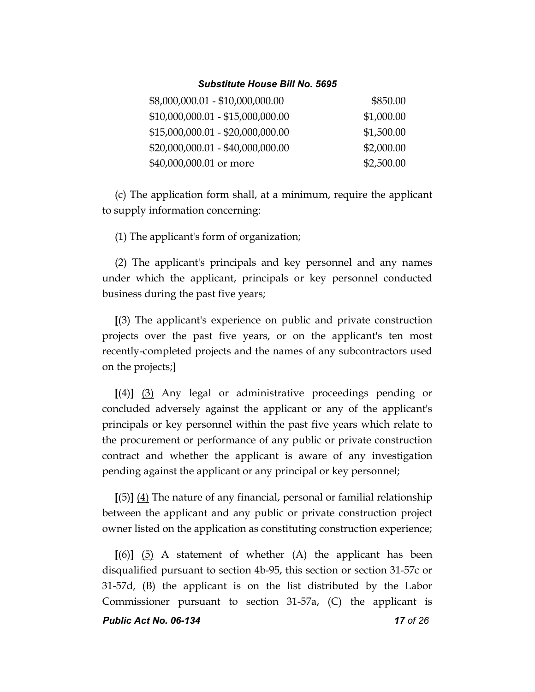| \$8,000,000.01 - \$10,000,000.00  | \$850.00   |
|-----------------------------------|------------|
| $$10,000,000.01 - $15,000,000.00$ | \$1,000.00 |
| $$15,000,000.01 - $20,000,000.00$ | \$1,500.00 |
| $$20,000,000.01 - $40,000,000.00$ | \$2,000.00 |
| \$40,000,000.01 or more           | \$2,500.00 |

(c) The application form shall, at a minimum, require the applicant to supply information concerning:

(1) The applicant's form of organization;

(2) The applicant's principals and key personnel and any names under which the applicant, principals or key personnel conducted business during the past five years;

**[**(3) The applicant's experience on public and private construction projects over the past five years, or on the applicant's ten most recently-completed projects and the names of any subcontractors used on the projects;**]**

**[**(4)**]** (3) Any legal or administrative proceedings pending or concluded adversely against the applicant or any of the applicant's principals or key personnel within the past five years which relate to the procurement or performance of any public or private construction contract and whether the applicant is aware of any investigation pending against the applicant or any principal or key personnel;

**[**(5)**]** (4) The nature of any financial, personal or familial relationship between the applicant and any public or private construction project owner listed on the application as constituting construction experience;

*Public Act No. 06-134 17 of 26* **[**(6)**]** (5) A statement of whether (A) the applicant has been disqualified pursuant to section 4b-95, this section or section 31-57c or 31-57d, (B) the applicant is on the list distributed by the Labor Commissioner pursuant to section 31-57a, (C) the applicant is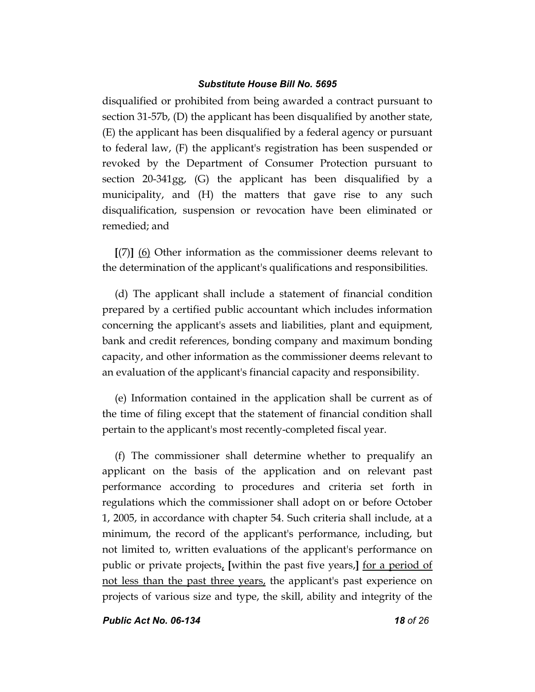disqualified or prohibited from being awarded a contract pursuant to section 31-57b, (D) the applicant has been disqualified by another state, (E) the applicant has been disqualified by a federal agency or pursuant to federal law, (F) the applicant's registration has been suspended or revoked by the Department of Consumer Protection pursuant to section 20-341gg, (G) the applicant has been disqualified by a municipality, and (H) the matters that gave rise to any such disqualification, suspension or revocation have been eliminated or remedied; and

**[**(7)**]** (6) Other information as the commissioner deems relevant to the determination of the applicant's qualifications and responsibilities.

(d) The applicant shall include a statement of financial condition prepared by a certified public accountant which includes information concerning the applicant's assets and liabilities, plant and equipment, bank and credit references, bonding company and maximum bonding capacity, and other information as the commissioner deems relevant to an evaluation of the applicant's financial capacity and responsibility.

(e) Information contained in the application shall be current as of the time of filing except that the statement of financial condition shall pertain to the applicant's most recently-completed fiscal year.

(f) The commissioner shall determine whether to prequalify an applicant on the basis of the application and on relevant past performance according to procedures and criteria set forth in regulations which the commissioner shall adopt on or before October 1, 2005, in accordance with chapter 54. Such criteria shall include, at a minimum, the record of the applicant's performance, including, but not limited to, written evaluations of the applicant's performance on public or private projects, **[**within the past five years,**]** for a period of not less than the past three years, the applicant's past experience on projects of various size and type, the skill, ability and integrity of the

*Public Act No. 06-134 18 of 26*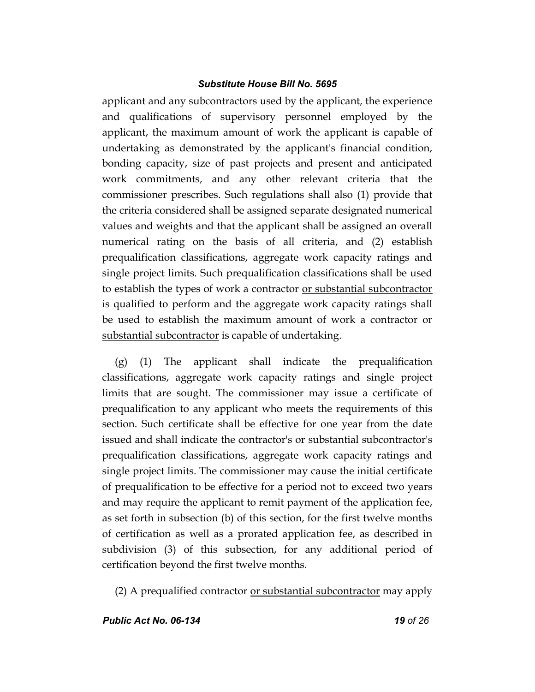applicant and any subcontractors used by the applicant, the experience and qualifications of supervisory personnel employed by the applicant, the maximum amount of work the applicant is capable of undertaking as demonstrated by the applicant's financial condition, bonding capacity, size of past projects and present and anticipated work commitments, and any other relevant criteria that the commissioner prescribes. Such regulations shall also (1) provide that the criteria considered shall be assigned separate designated numerical values and weights and that the applicant shall be assigned an overall numerical rating on the basis of all criteria, and (2) establish prequalification classifications, aggregate work capacity ratings and single project limits. Such prequalification classifications shall be used to establish the types of work a contractor <u>or substantial subcontractor</u> is qualified to perform and the aggregate work capacity ratings shall be used to establish the maximum amount of work a contractor or substantial subcontractor is capable of undertaking.

(g) (1) The applicant shall indicate the prequalification classifications, aggregate work capacity ratings and single project limits that are sought. The commissioner may issue a certificate of prequalification to any applicant who meets the requirements of this section. Such certificate shall be effective for one year from the date issued and shall indicate the contractor's or substantial subcontractor's prequalification classifications, aggregate work capacity ratings and single project limits. The commissioner may cause the initial certificate of prequalification to be effective for a period not to exceed two years and may require the applicant to remit payment of the application fee, as set forth in subsection (b) of this section, for the first twelve months of certification as well as a prorated application fee, as described in subdivision (3) of this subsection, for any additional period of certification beyond the first twelve months.

(2) A prequalified contractor or substantial subcontractor may apply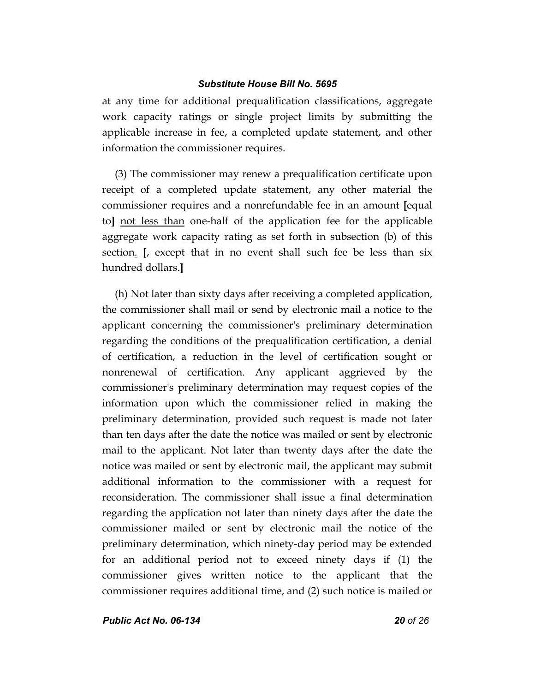at any time for additional prequalification classifications, aggregate work capacity ratings or single project limits by submitting the applicable increase in fee, a completed update statement, and other information the commissioner requires.

(3) The commissioner may renew a prequalification certificate upon receipt of a completed update statement, any other material the commissioner requires and a nonrefundable fee in an amount **[**equal to**]** not less than one-half of the application fee for the applicable aggregate work capacity rating as set forth in subsection (b) of this section. **[**, except that in no event shall such fee be less than six hundred dollars.**]**

(h) Not later than sixty days after receiving a completed application, the commissioner shall mail or send by electronic mail a notice to the applicant concerning the commissioner's preliminary determination regarding the conditions of the prequalification certification, a denial of certification, a reduction in the level of certification sought or nonrenewal of certification. Any applicant aggrieved by the commissioner's preliminary determination may request copies of the information upon which the commissioner relied in making the preliminary determination, provided such request is made not later than ten days after the date the notice was mailed or sent by electronic mail to the applicant. Not later than twenty days after the date the notice was mailed or sent by electronic mail, the applicant may submit additional information to the commissioner with a request for reconsideration. The commissioner shall issue a final determination regarding the application not later than ninety days after the date the commissioner mailed or sent by electronic mail the notice of the preliminary determination, which ninety-day period may be extended for an additional period not to exceed ninety days if (1) the commissioner gives written notice to the applicant that the commissioner requires additional time, and (2) such notice is mailed or

*Public Act No. 06-134 20 of 26*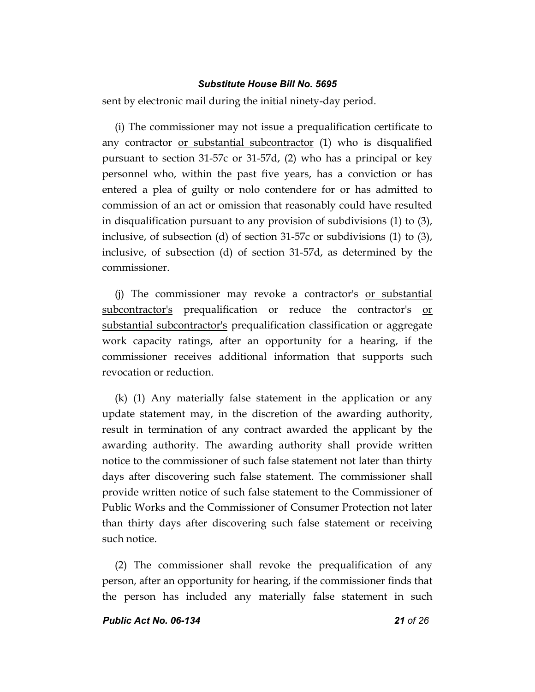sent by electronic mail during the initial ninety-day period.

(i) The commissioner may not issue a prequalification certificate to any contractor or substantial subcontractor (1) who is disqualified pursuant to section 31-57c or 31-57d, (2) who has a principal or key personnel who, within the past five years, has a conviction or has entered a plea of guilty or nolo contendere for or has admitted to commission of an act or omission that reasonably could have resulted in disqualification pursuant to any provision of subdivisions (1) to (3), inclusive, of subsection (d) of section 31-57c or subdivisions (1) to (3), inclusive, of subsection (d) of section 31-57d, as determined by the commissioner.

(j) The commissioner may revoke a contractor's or substantial subcontractor's prequalification or reduce the contractor's or substantial subcontractor's prequalification classification or aggregate work capacity ratings, after an opportunity for a hearing, if the commissioner receives additional information that supports such revocation or reduction.

(k) (1) Any materially false statement in the application or any update statement may, in the discretion of the awarding authority, result in termination of any contract awarded the applicant by the awarding authority. The awarding authority shall provide written notice to the commissioner of such false statement not later than thirty days after discovering such false statement. The commissioner shall provide written notice of such false statement to the Commissioner of Public Works and the Commissioner of Consumer Protection not later than thirty days after discovering such false statement or receiving such notice.

(2) The commissioner shall revoke the prequalification of any person, after an opportunity for hearing, if the commissioner finds that the person has included any materially false statement in such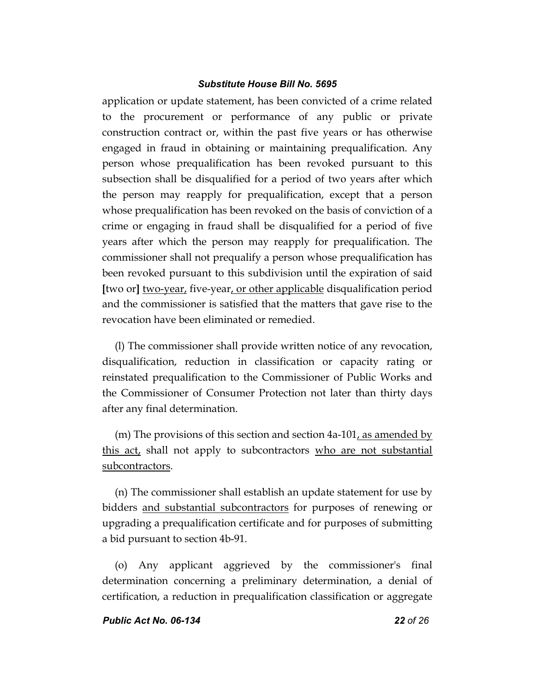application or update statement, has been convicted of a crime related to the procurement or performance of any public or private construction contract or, within the past five years or has otherwise engaged in fraud in obtaining or maintaining prequalification. Any person whose prequalification has been revoked pursuant to this subsection shall be disqualified for a period of two years after which the person may reapply for prequalification, except that a person whose prequalification has been revoked on the basis of conviction of a crime or engaging in fraud shall be disqualified for a period of five years after which the person may reapply for prequalification. The commissioner shall not prequalify a person whose prequalification has been revoked pursuant to this subdivision until the expiration of said **[**two or**]** two-year, five-year, or other applicable disqualification period and the commissioner is satisfied that the matters that gave rise to the revocation have been eliminated or remedied.

(l) The commissioner shall provide written notice of any revocation, disqualification, reduction in classification or capacity rating or reinstated prequalification to the Commissioner of Public Works and the Commissioner of Consumer Protection not later than thirty days after any final determination.

(m) The provisions of this section and section  $4a-101$ , as amended by this act, shall not apply to subcontractors who are not substantial subcontractors.

(n) The commissioner shall establish an update statement for use by bidders and substantial subcontractors for purposes of renewing or upgrading a prequalification certificate and for purposes of submitting a bid pursuant to section 4b-91.

(o) Any applicant aggrieved by the commissioner's final determination concerning a preliminary determination, a denial of certification, a reduction in prequalification classification or aggregate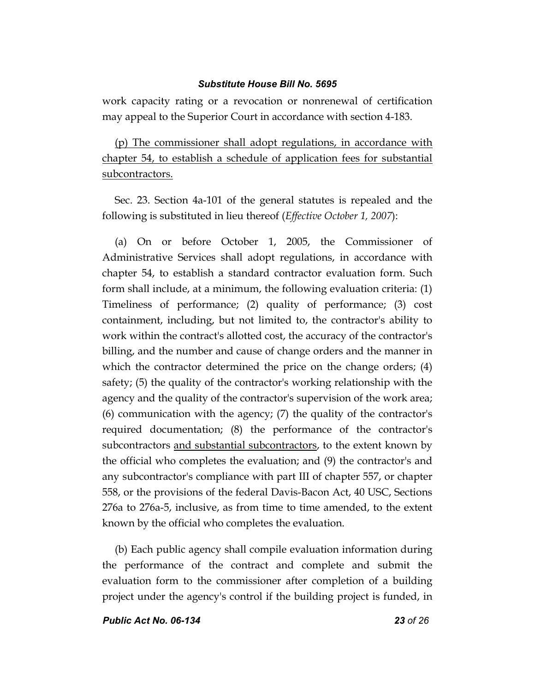work capacity rating or a revocation or nonrenewal of certification may appeal to the Superior Court in accordance with section 4-183.

(p) The commissioner shall adopt regulations, in accordance with chapter 54, to establish a schedule of application fees for substantial subcontractors.

Sec. 23. Section 4a-101 of the general statutes is repealed and the following is substituted in lieu thereof (*Effective October 1, 2007*):

(a) On or before October 1, 2005, the Commissioner of Administrative Services shall adopt regulations, in accordance with chapter 54, to establish a standard contractor evaluation form. Such form shall include, at a minimum, the following evaluation criteria: (1) Timeliness of performance; (2) quality of performance; (3) cost containment, including, but not limited to, the contractor's ability to work within the contract's allotted cost, the accuracy of the contractor's billing, and the number and cause of change orders and the manner in which the contractor determined the price on the change orders; (4) safety; (5) the quality of the contractor's working relationship with the agency and the quality of the contractor's supervision of the work area; (6) communication with the agency; (7) the quality of the contractor's required documentation; (8) the performance of the contractor's subcontractors <u>and substantial subcontractors</u>, to the extent known by the official who completes the evaluation; and (9) the contractor's and any subcontractor's compliance with part III of chapter 557, or chapter 558, or the provisions of the federal Davis-Bacon Act, 40 USC, Sections 276a to 276a-5, inclusive, as from time to time amended, to the extent known by the official who completes the evaluation.

(b) Each public agency shall compile evaluation information during the performance of the contract and complete and submit the evaluation form to the commissioner after completion of a building project under the agency's control if the building project is funded, in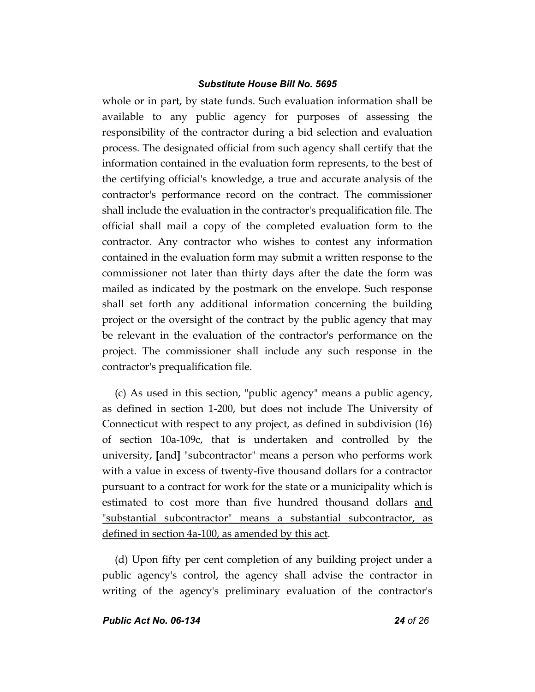whole or in part, by state funds. Such evaluation information shall be available to any public agency for purposes of assessing the responsibility of the contractor during a bid selection and evaluation process. The designated official from such agency shall certify that the information contained in the evaluation form represents, to the best of the certifying official's knowledge, a true and accurate analysis of the contractor's performance record on the contract. The commissioner shall include the evaluation in the contractor's prequalification file. The official shall mail a copy of the completed evaluation form to the contractor. Any contractor who wishes to contest any information contained in the evaluation form may submit a written response to the commissioner not later than thirty days after the date the form was mailed as indicated by the postmark on the envelope. Such response shall set forth any additional information concerning the building project or the oversight of the contract by the public agency that may be relevant in the evaluation of the contractor's performance on the project. The commissioner shall include any such response in the contractor's prequalification file.

(c) As used in this section, "public agency" means a public agency, as defined in section 1-200, but does not include The University of Connecticut with respect to any project, as defined in subdivision (16) of section 10a-109c, that is undertaken and controlled by the university, **[**and**]** "subcontractor" means a person who performs work with a value in excess of twenty-five thousand dollars for a contractor pursuant to a contract for work for the state or a municipality which is estimated to cost more than five hundred thousand dollars and "substantial subcontractor" means a substantial subcontractor, as defined in section 4a-100, as amended by this act.

(d) Upon fifty per cent completion of any building project under a public agency's control, the agency shall advise the contractor in writing of the agency's preliminary evaluation of the contractor's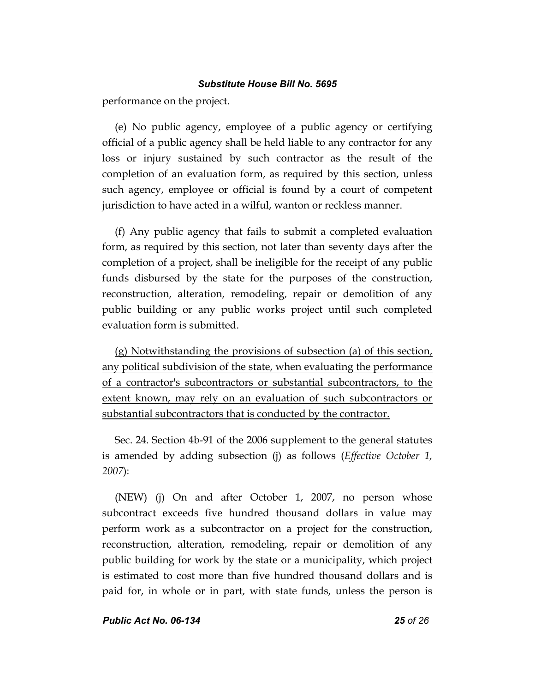performance on the project.

(e) No public agency, employee of a public agency or certifying official of a public agency shall be held liable to any contractor for any loss or injury sustained by such contractor as the result of the completion of an evaluation form, as required by this section, unless such agency, employee or official is found by a court of competent jurisdiction to have acted in a wilful, wanton or reckless manner.

(f) Any public agency that fails to submit a completed evaluation form, as required by this section, not later than seventy days after the completion of a project, shall be ineligible for the receipt of any public funds disbursed by the state for the purposes of the construction, reconstruction, alteration, remodeling, repair or demolition of any public building or any public works project until such completed evaluation form is submitted.

(g) Notwithstanding the provisions of subsection (a) of this section, any political subdivision of the state, when evaluating the performance of a contractor's subcontractors or substantial subcontractors, to the extent known, may rely on an evaluation of such subcontractors or substantial subcontractors that is conducted by the contractor.

Sec. 24. Section 4b-91 of the 2006 supplement to the general statutes is amended by adding subsection (j) as follows (*Effective October 1, 2007*):

(NEW) (j) On and after October 1, 2007, no person whose subcontract exceeds five hundred thousand dollars in value may perform work as a subcontractor on a project for the construction, reconstruction, alteration, remodeling, repair or demolition of any public building for work by the state or a municipality, which project is estimated to cost more than five hundred thousand dollars and is paid for, in whole or in part, with state funds, unless the person is

*Public Act No. 06-134 25 of 26*